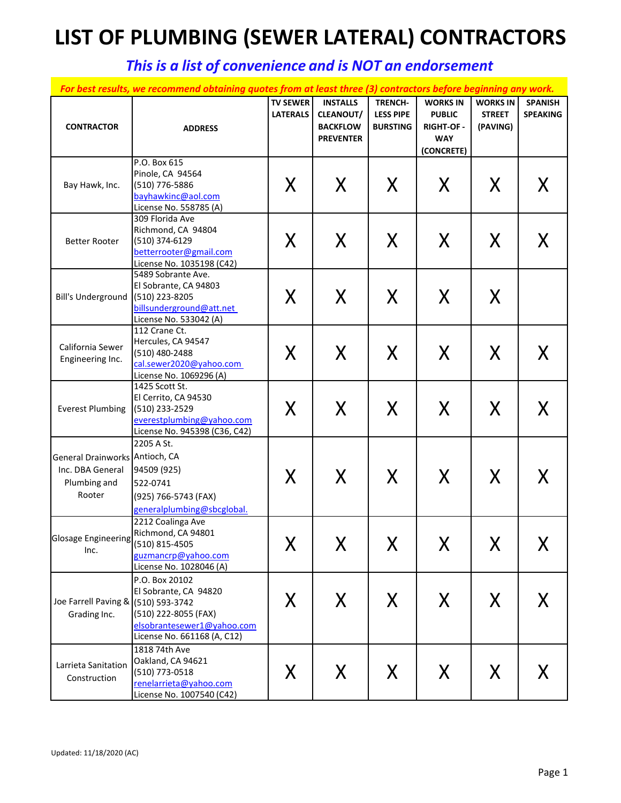## **LIST OF PLUMBING (SEWER LATERAL) CONTRACTORS**

## *This is a list of convenience and is NOT an endorsement*

|                                                                              | For best results, we recommend obtaining quotes from at least three (3) contractors before beginning any work.               |                                    |                                                                            |                                                       |                                                                           |                                              |                                   |
|------------------------------------------------------------------------------|------------------------------------------------------------------------------------------------------------------------------|------------------------------------|----------------------------------------------------------------------------|-------------------------------------------------------|---------------------------------------------------------------------------|----------------------------------------------|-----------------------------------|
| <b>CONTRACTOR</b>                                                            | <b>ADDRESS</b>                                                                                                               | <b>TV SEWER</b><br><b>LATERALS</b> | <b>INSTALLS</b><br><b>CLEANOUT/</b><br><b>BACKFLOW</b><br><b>PREVENTER</b> | <b>TRENCH-</b><br><b>LESS PIPE</b><br><b>BURSTING</b> | <b>WORKS IN</b><br><b>PUBLIC</b><br>RIGHT-OF-<br><b>WAY</b><br>(CONCRETE) | <b>WORKS IN</b><br><b>STREET</b><br>(PAVING) | <b>SPANISH</b><br><b>SPEAKING</b> |
| Bay Hawk, Inc.                                                               | P.O. Box 615<br>Pinole, CA 94564<br>(510) 776-5886<br>bayhawkinc@aol.com<br>License No. 558785 (A)                           | X                                  | X                                                                          | X                                                     | X                                                                         | X                                            | X                                 |
| <b>Better Rooter</b>                                                         | 309 Florida Ave<br>Richmond, CA 94804<br>(510) 374-6129<br>betterrooter@gmail.com<br>License No. 1035198 (C42)               | X                                  | X                                                                          | X                                                     | X                                                                         | X                                            | X                                 |
| Bill's Underground                                                           | 5489 Sobrante Ave.<br>El Sobrante, CA 94803<br>(510) 223-8205<br>billsunderground@att.net<br>License No. 533042 (A)          | X                                  | Χ                                                                          | Χ                                                     | X                                                                         | X                                            |                                   |
| California Sewer<br>Engineering Inc.                                         | 112 Crane Ct.<br>Hercules, CA 94547<br>(510) 480-2488<br>cal.sewer2020@yahoo.com<br>License No. 1069296 (A)                  | X                                  | X                                                                          | $\sf X$                                               | X                                                                         | X                                            | X                                 |
| <b>Everest Plumbing</b>                                                      | 1425 Scott St.<br>El Cerrito, CA 94530<br>(510) 233-2529<br>everestplumbing@yahoo.com<br>License No. 945398 (C36, C42)       | X                                  | X                                                                          | $\sf X$                                               | X                                                                         | X                                            | X.                                |
| General Drainworks Antioch, CA<br>Inc. DBA General<br>Plumbing and<br>Rooter | 2205 A St.<br>94509 (925)<br>522-0741<br>(925) 766-5743 (FAX)<br>generalplumbing@sbcglobal.                                  | X                                  | X                                                                          | X                                                     | X                                                                         | X                                            | X.                                |
| Glosage Engineering (510) 815-4505<br>Inc.                                   | 2212 Coalinga Ave<br>Richmond, CA 94801<br>guzmancrp@yahoo.com<br>License No. 1028046 (A)                                    | $\mathbf{v}$<br>Χ                  | Х                                                                          | X                                                     | X                                                                         | X                                            | X                                 |
| Joe Farrell Paving & (510) 593-3742<br>Grading Inc.                          | P.O. Box 20102<br>El Sobrante, CA 94820<br>(510) 222-8055 (FAX)<br>elsobrantesewer1@yahoo.com<br>License No. 661168 (A, C12) | X                                  | X                                                                          | X                                                     | X                                                                         | X                                            | X                                 |
| Larrieta Sanitation<br>Construction                                          | 1818 74th Ave<br>Oakland, CA 94621<br>(510) 773-0518<br>renelarrieta@yahoo.com<br>License No. 1007540 (C42)                  | X                                  | X                                                                          | X                                                     | X                                                                         | X                                            | X.                                |